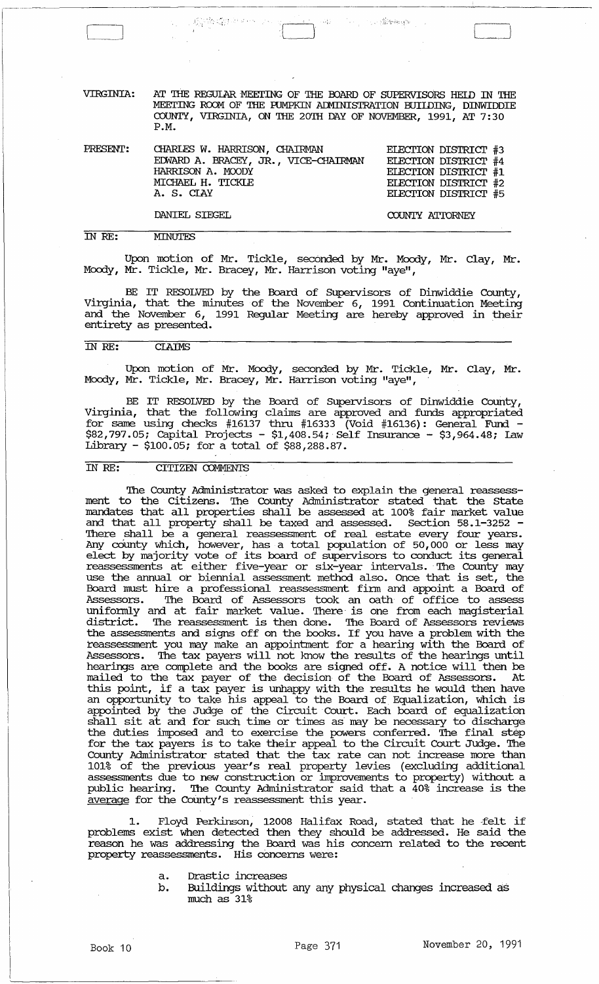VIRGINIA: AT THE REGULAR MEETING OF THE BOARD OF SUPERVISORS HELD IN THE MEETING ROOM OF THE PUMPKIN ADMINISTRATION BUIIDING, DINWIDDIE COUNTY, VIRGINIA, ON THE 20TH DAY OF NOVEMBER, 1991, AT 7:30 P.M.

49

**The Committee State** 

 $\begin{split} \mathcal{J}^{(1)}_{\text{2,1,2}} & \leq \mathcal{J}^{(1)}_{\text{2,2}} \left( \mathcal{J}^{(1)}_{\text{2,2}} \right) \mathcal{J}^{(1)}_{\text{2,2}} \left( \mathcal{J}^{(1)}_{\text{2,2}} \right) \mathcal{J}^{(1)}_{\text{2,2}} \left( \mathcal{J}^{(1)}_{\text{2,2}} \right) \mathcal{J}^{(1)}_{\text{2,2}} \left( \mathcal{J}^{(1)}_{\text{2,2}} \right) \mathcal{J}^{(1)}_{\text{2,2}} \left( \math$ 

| PRESENT: CHARLES W. HARRISON, CHAIRMAN<br>EDWARD A. BRACEY, JR., VICE-CHAIRMAN<br>HARRISON A. MOODY<br>MICHAEL H. TICKLE<br>A. S. CIAY | ELECTION DISTRICT #3<br>ELECTION DISTRICT #4<br>ELECTION DISTRICT #1<br>ELECTION DISTRICT #2<br>ELECTION DISTRICT #5 |
|----------------------------------------------------------------------------------------------------------------------------------------|----------------------------------------------------------------------------------------------------------------------|
| DANIEL SIEGEL                                                                                                                          | COUNTY ATTORNEY                                                                                                      |

IN RE: **MINUTES** 

Upon motion of Mr. Tickle, seconded by Mr. Moody, Mr. Clay, Mr. Moody, Mr. Tickle, Mr. Bracey, Mr. Harrison voting "aye",

BE IT RESOLVED by the Board of Supervisors of Dinwiddie County, Virginia, that the minutes of the November 6, 1991 continuation Meeting and the November 6, 1991 Regular Meeting are hereby approved in their entirety as presented.

#### IN RE: **CLAIMS**

Upon motion of Mr. Moody, seconded by Mr. Tickle, Mr. Clay, Mr. Moody, Mr. Tickle, Mr. Bracey, Mr. Harrison voting "aye", .

BE IT RESOLVED by the Board of Supervisors of Dinwiddie County, Virginia, that the following claims are approved and funds appropriated for same using checks #16137 thru #16333 (Void #16136): General Fund - \$82,797.05; Capital Projects - \$1,408.54;' Self Insurance - \$3,964.48; law Library - \$100.05; for a total of \$88,288.87.

# IN RE: CITIZEN COMMENTS

The County Administrator was asked to explain the general reassessment to the Citizens. The County Administrator stated that the State mandates that all properties shall be assessed at 100% fair market value and that all property shall be taxed and assessed. Section 58.1-3252 - There shall be a general reassessment of real estate every four years. Any cOunty which, however, has a total population of 50,000 or less may elect by majority vote of its board of supervisors to conduct its general enect by majority vote of its board of supervisors to conduct its general reassessments at either five-year or six-year intervals. The County may use the annual or biennial assessment method also. Once that is set, the Board must hire a professional reassessment firm and appoint a Board of Assessors. The Board of Assessors took an oath of office to assess uniformly and at fair market value. There' is one from each magisterial district. The reassessment is then done. The Board of Assessors reviews the assessments and signs off on the books. If you have a problem with the reassessment you may make an appointment for a hearing with the Board of Assessors. The tax payers will not know the results of the hearings until hearings are complete and the books are signed off. A notice will then be mailed to the tax paver of the decision of the Board of Assessors. At mailed to the tax payer of the decision of the Board of Assessors. this point, if a tax payer is unhappy with the results he would then have and point, if a can payer is analogy what the results he would did have an opportunity to take his appeal to the Board of Equalization, which is appointed by the Judge of the Circuit Court. Each board of equalizatioh shall sit at and for such time or times as may be necessary to discharge the duties imposed and to exercise the powers conferred. '!he final step for the tax payers is to take their appeal to the Circuit Court Judge. The County Administrator stated that the tax rate can not increase more than 101% of the previous year's real property levies (excluding additional assessments due to new construction or improvements to property) without a public hearing. The County Administrator said that a 40% increase is the average for the CoUnty's reassessment this year.

1. Floyd Perkinson, 12008 Halifax Road, stated that he -felt if problems exist when detected then they should be addressed. He said the reason he was addressing the Board was his concern related to the recent property reassessments. His concerns were:

- a. Drastic increases
- b. Buildings without any any physical changes increased as much as 31%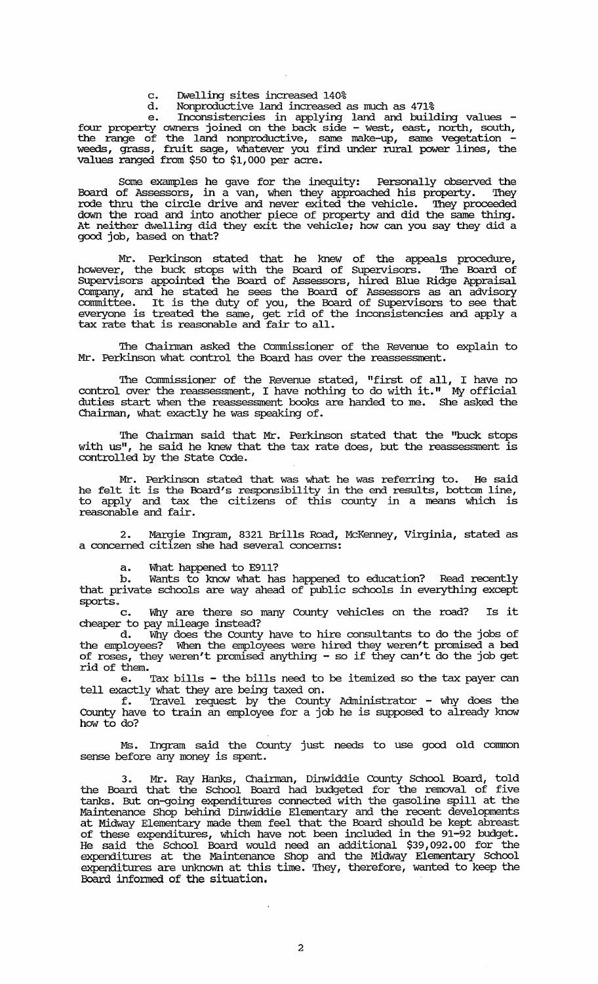- c. Dwelling sites increased 140%
- Nonproductive land increased as much as 471%

e. Inconsistencies in applying land and building values - four property owners joined on the back side - west, east, north, south, the range of the land nonproductive, same make-up, same vegetation - weeds, grass, fruit sage, whatever you find under rural power lines, the values ranged from \$50 to \$1,000 per acre.

Some examples he gave for the inequity: Personally observed the Board of Assessors, in a van, when they approached his property. They rode thru the circle drive and never exited the vehicle. They proceeded down the road and into another piece of property and did the same. thing. At neither dwelling did they exit the vehicle; how can you say they did a good job, based on that?

Mr. Perkinson stated that he knew of the appeals procedure, however, the buck stops with the Board of supervisors. The Board of SUpervisors appointed the Board of Assessors, hired Blue Ridge Appraisal Company, and he stated he sees the Board of Assessors as an advisory committee. It is the duty of you, the Board of Supervisors to see that everyone is treated the same, get rid of the inconsistencies and apply a tax rate that is reasonable and fair to all.

The Chairman asked the Commissioner of the Revenue to explain to Mr. Perkinson what control the Board has over the reassessment.

The Commissioner of the Revenue stated, "first of all, I have no control over the reassessment, I have nothing to do with it." My official duties start when the reassessment books are handed to me. She asked the Chairman, what exactly he was speaking of.

The Chairman said that Mr. Perkinson stated that the "buck stops with us", he said he knew that the tax rate does, but the reassessment is controlled by the State Code.

Mr. Perkinson stated that was what he was referring to. He said he felt it is the Board's responsibility in the end results, bottom line, to apply and tax the citizens of this ·county in a means which is reasonable and fair.

2. Margie Ingram, 8321 Brills Road, McKenney, Virginia, stated as a concerned citizen she had several concerns:

a. What happened to E911?

Wants to know what has happened to education? Read recently that private schools are way ahead of public schools in everything except sports.<br>C

Why are there so many County vehicles on the road? Is it cheaper to pay mileage instead?

d. Why does the County have to hire consultants to do the jobs of the employees? When the employees were hired they weren't promised a bed of roses, they weren't promised anything - so if they can't do the job get rid of them.

Tax bills - the bills need to be itemized so the tax payer can tell exactly what they are being taxed on.

f. Travel request by the County Administrator - why does the County have to train an employee for a job he is supposed to already know how to do?

Ms. Ingram said the County just needs to use good old connnon sense before any money is spent.

3. Mr. *Ray* Hanks, Chainnan, Dinwiddie COunty School Board, told the Board that the School Board had budgeted for the removal of five tanks. But on-going expenditures connected with the gasoline spill at the Maintenance Shop behind. Dinwiddie Elementary and the recent developments at Midway Elementary made them feel that the Board should be kept abreast of these expenditures, which have not been included in the 91-92 budget. He said the School Board would need an additional \$39,092.00 for the expenditures at the Maintenance Shop and the Midway Elementary School expenditures are unknown at this time. They, therefore, wanted to keep the Board infonned of the situation.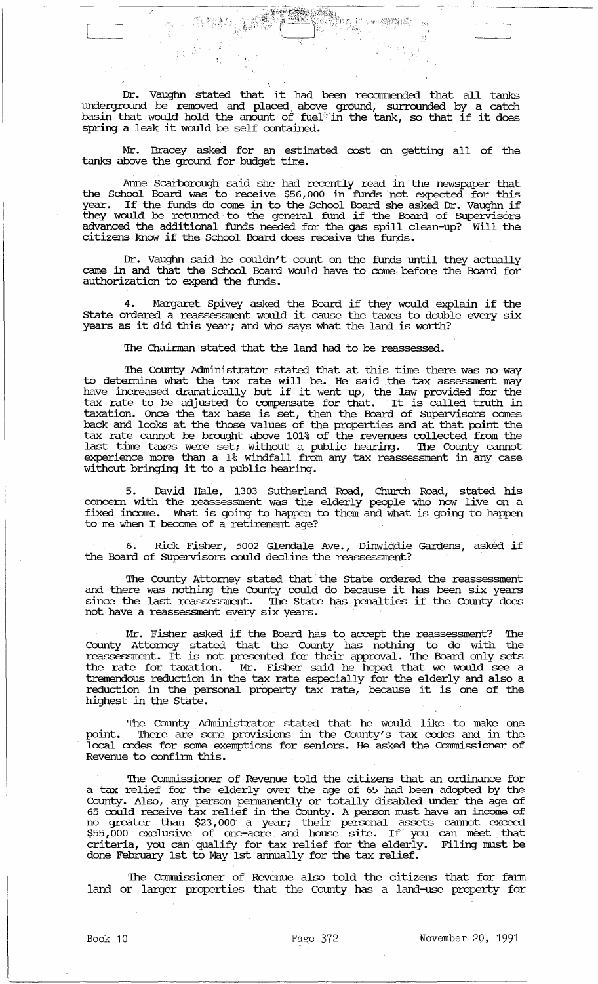Dr. Vaughn stated that it had been recommended that all tanks underground be removed and placed. above ground, surrounded by a catch basin that would hold the amount of fuel: in the tank, so that if it does spring a leak it would be self contained.

*r::'.:* \\_ it \_,": , ',", ",.

/'

Mr. Bracey asked for an estimated cost on getting all of the tanks above the ground for budget time.

Anne Scarborough said she had recently read in the newspaper that the School Board was to receive \$56,000 in funds not expected for this year. If the funds do come in to the school Board she asked Dr. Vaughn if they would be returned to the general fund if the Board of Supervisors advanced the additional funds needed for the gas spill clean-up? will the citizens know if the School Board does receive the funds.

Dr. Vaughn said he couldn't count on the funds until they actually came in and that the School Board would have to come, before the Board for authorization to expend the funds.

4. Margaret Spivey asked the Board if they would explain if the state ordered a reassessment would it cause the taxes to double every six years as it did this year; and who says what the land is worth?

The Chairman stated that the land had to be reassessed.

The County Administrator stated that at this time there was no way to detennine what the tax rate will be. He said the tax assessment may have increased dramatically but if it went up, the law provided for the tax rate to be adjusted to compensate for that. It is called truth in taxation. Once the tax base is set, then the Board of Supervisors comes back and looks at the those values of the properties and at that point the tax rate cannot be brought above 101% of the revenues collected from the last time taxes were set; without a public hearing. The County cannot experience more than a 1% windfall from any tax reassessment in any case without bringing it to a public hearing.

5. David Hale, 1303 SUtherland Road, Church Road, stated his concern with the reassessment was the elderly people who now live on a fixed income. What is going to happen to them and what is going to happen to me when I become of a retirement age?

6. Rick Fisher, 5002 Glendale Ave., Dinwiddie Gardens, asked if the Board of Supervisors could decline the reassessment? .

'!he County Attorney stated that the State ordered the reassessment and there was nothing the County could do because it has been six years since the last reassessment. The State has penalties if the County does not have a reassessment every six years.

Mr. Fisher asked if the Board has to accept the reassessment? The County Attorney stated that the County has nothing to do with the reassessment. It is not presented for their approval. '!he Board only sets the rate for taxation. Mr. Fisher said he hoped that we would see a tremendous reduction in the' tax rate especially for the elderly and also a reduction in the personal property tax rate, because it is one of the highest in the State.

The County Administrator stated that he would like to make one point. '!here are some provisions in the County's tax codes and in the local codes for some exemptions for seniors. He asked the commissioner of Revenue to confirm this.

The Commissioner of Revenue told the citizens that an ordinance for a tax relief for the elderly over the age of 65 had been adopted by the County. Also, any person permanently or totally disabled under the age of 65 could receive tax relief in the County. A person must have an income of no greater than \$23,000 a year; their personal assets cannot exceed \$55,000 exclusive of one-acre and house site. If you can meet that criteria, you can'qualify for tax relief for the elderly. Filing must be done February 1st to May 1st annually for the tax relief.

The Commissioner of Revenue also told the citizens that for farm land or larger properties that the County has a land-use property for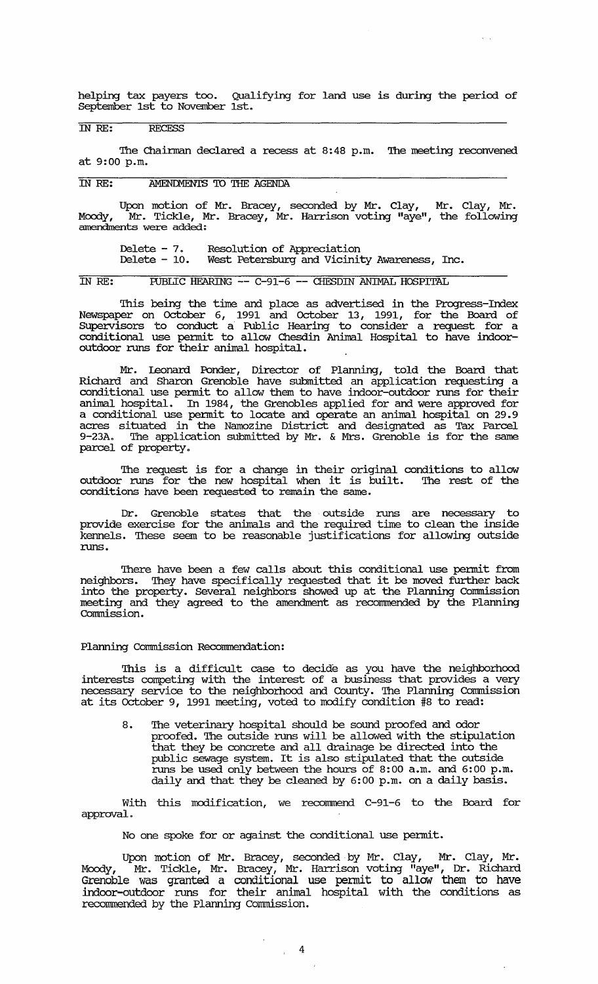helping tax payers too. Qualifying for land use is during the period of September 1st to November 1st.

# IN RE: RECESS

The Chairman declared a recess at 8:48 p.m. The meeting reconvened at 9:00 p.m.

## IN RE: AMENDMENTS TO THE AGENDA

Upon motion of Mr. Bracey, seconded by Mr. Clay, Mr. Clay, Mr. Moody, <sup>"</sup>Mr. Tickle, Mr. Bracey, Mr. Harrison voting "aye", the following amendments were added:

Delete - 7. Delete - 10. Resolution of Appreciation West Petersburg and Vicinity Awareness, Inc.

IN RE: FUBLIC HEARING -- C-91-6 -- CHE'SDIN ANIMAL HOSPITAL

This being the time and place as advertised in the Progress-Index Newspaper on October 6, 1991 and October 13, 1991, for the Board of SUpervisors to conduct a Public Hearing to consider a request for a conditional use pennit to allow Chesdin Animal Hospital to have indooroutdoor runs for their animal hospital.

Mr. Leonard Ponder, Director of Planning, told the Board that Richard and Sharon Grenoble have submitted an application requesting a conditional use pennit to allow them to have indoor-outdoor runs for their animal hospital. In 1984, the Grenobles applied for and were approved for a conditional use pennit to locate and operate an animal hospital on 29.9 acres situated in the Namozine District and designated as Tax Parcel 9-23A. The application submitted by Mr. & Mrs. Grenoble is for the same parcel of property.

The request is for a change in their original conditions to allow outdoor runs for the new hospital when it is built. '!he rest of the conditions have been requested to remain the same.

Dr. Grenoble states that the outside runs are necessary to provide exercise for the animals and the required time to clean the inside kennels. These seem to be reasonable justifications for allowing outside runs.

There have been a few calls about this conditional use permit from neighbors. They have specifically requested that it be moved further back into the property. Several neighbors showed up at the Planning commission meeting and they agreed to the amendment as recommended by the Planning Commission.

#### Planning Commission Recommendation:

This is a difficult case to decide as you have the neighborhood interests competing with the interest of a business that provides a very necessary service to the neighborhood and County. The Planning Commission at its October 9, 1991 meeting, voted to modify condition #8 to read:

8. The veterinary hospital should be sound proofed and odor proofed. '!he outside runs will be allowed with the stipulation that they be concrete and all drainage be directed into the public sewage system. It is also stipulated that the outside runs be used only between the hours of 8:00 a.m. and 6:00 p.m. daily and that they be cleaned by 6:00 p.m. on a daily basis.

With this modification, we recommend C-91-6 to the Board for approval.

No one spoke for or against the conditional use pennit.

Upon motion of Mr. Bracey, seconded by Mr. clay, Mr. Clay, Mr. Moody, Mr. Tickle, Mr. Bracey, Mr. Harrison voting "aye", Dr. Richard Grenoble was granted a conditional use pennit to allow them to have indoor-outdoor runs for their animal hospital with the conditions as recommended by the Planning Commission.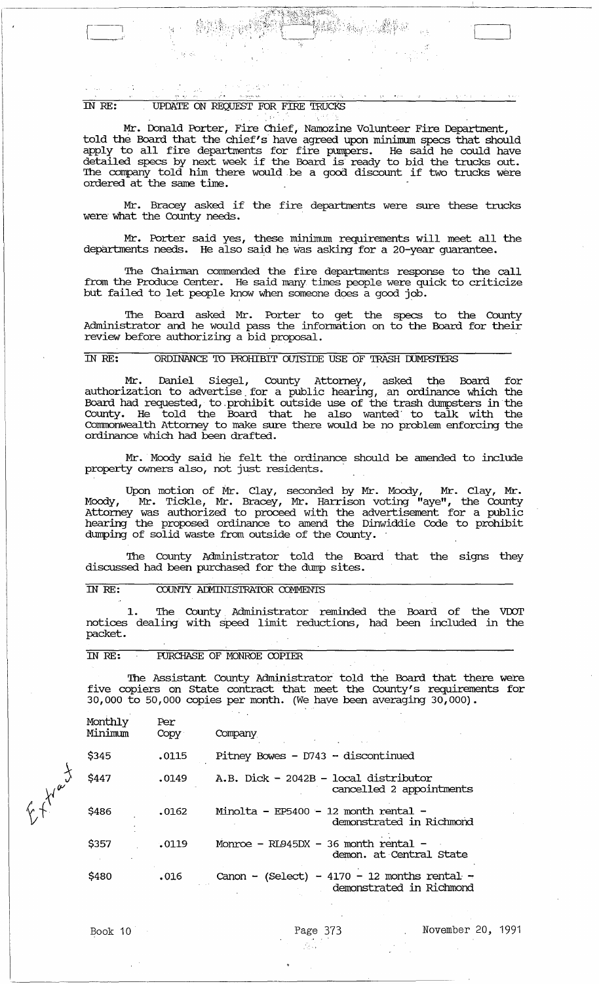IN RE: UPDATE ON REQUEST FOR FIRE TRUCKS

'.' -:.

[--;. .•. U ';':' "-7Z::~pf:~:~rf!l;~'~i'~;;~!-: : jj '~~;

Mr. Donald Porter, Fire Chief, Namozine Volunteer Fire Department, told the Board that the chief's have agreed upon minimum specs that should apply to all fire departments for fire pumpers. He said he could have detailed specs by next week if the Board is ready to bid the trucks out. The company told him there would be a good discount if two trucks were ordered at the same time.

,.

'.' ",'

Mr. Bracey asked if the fire departments were sure these trucks were what the County needs.

Mr. Porter said yes, these minimmn requirements will meet all the deparbnents needs. He also said he Was asking for a 20-year guarantee.

The Chairman commended the fire departments response to the call from the Produce Center. He said many times people were quick to criticize but failed to let people know when someone does a good job.

The Board asked Mr. Porter to get the specs to the County Administrator and he would pass the information on to the Board for their review before authorizing a bid proposal.

#### IN *RE:* ORDINANCE 'IO PROHIBIT oursIDE USE OF TRASH IXJMPSTERS

Mr. Daniel Siegel, County Attorney, asked the Board for authorization to advertise. for a public hearing, an ordinance which the Board had requested, to . prohibit outside use of the trash dumpsters in the County. He told the Board that he also wanted' to talk with the Connnonweal th Attorney to make sure there would be no problem enforcing the ordinance which had been drafted .

. Mr. Moody said he felt the ordinance should be amended to include property owners also, not just residents. .

Upon motion of Mr. Clay, seconded by Mr. Moody, Mr. Clay, Mr. Moody, Mr. Tickle, Mr. Bracey, Mr. Harrison voting "aye", the County Attorney was authorized to proceed with the advertisement for a public hearing the proposed ordinance to amend the Dinwiddie Code to prohibit dumping of solid waste from outside of the County.

The County Administrator told the Board that the signs they discussed had been purchased for the dump sites.

#### IN RE: COUNTY ADMINISTRATOR COMMENTS

1. The County Administrator reminded the Board of the VDOT notices dealing with speed limit reductions, had been included in the packet.

#### IN *RE:* FURCHASE OF MONROE COPIER

The Assistant County Administrator told the Board that there were five copiers on State contract that meet the County's requirements for 30,000 to 50,000 copies per month. (We have been averaging 30,000).

| Monthly<br>Minimum | Per<br>Copy | Company                                                                       |
|--------------------|-------------|-------------------------------------------------------------------------------|
| \$345              | .0115       | Pitney Bowes - $D743 -$ discontinued                                          |
| \$447              | .0149       | $A.B.$ Dick - 2042B - local distributor<br>cancelled 2 appointments           |
| \$486              | .0162       | Minolta - EP5400 - 12 month rental -<br>demonstrated in Richmond              |
| \$357              | .0119       | Monroe - $R I.945DX - 36$ month rental -<br>demon. at Central State           |
| \$480              | .016        | (Select) - 4170 - 12 months rental -<br>Canon $-$<br>demonstrated in Richmond |

 $\overline{\mathbf{y}}$ 

 $\mathcal{M}^{\boldsymbol{\alpha}}$ 

 $V^+$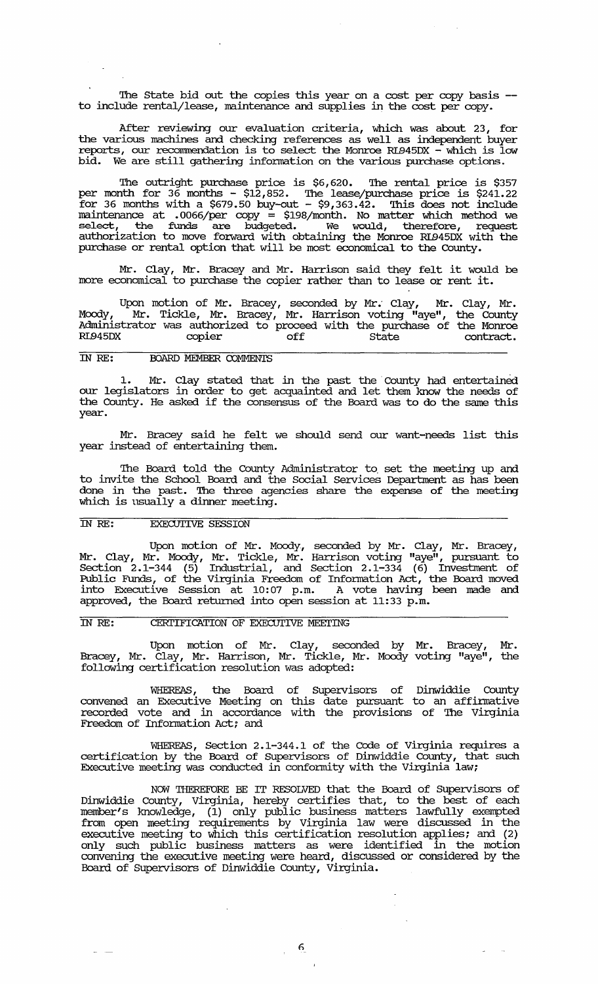The State bid out the copies this year on a cost per copy basis -to include rental/lease, maintenance and supplies in the cost per copy.

After reviewing our evaluation criteria, which was about 23, for the various machines and checking references as well as independent buyer reports, our reconunendation is to select the Monroe RL945DX - which is low bid. We are still gathering infonnation on the various purchase options.

The outright purchase price is \$6,620. The rental price is \$357 per month for 36 months - \$12,852. '!he lease/purchase price is \$241. 22 for 36 months with a \$679.50 buy-out -  $$9,363.42$ . This does not include maintenance at .0066/per copy = \$198/month. No matter which method we select, the funds are budgeted. We would, therefore, request authorization to move forward with obtaining the Monroe RL945DX with the purchase or rental option that will be most economical to the County.

Mr. Clay, Mr. Bracey and Mr. Harrison said they felt it would be more economical to purchase the copier rather than to lease or rent it.

Upon motion of Mr. Bracey, seconded by Mr. Clay, Mr. Clay, Mr. Moody, Mr. Tickle, Mr. Bracey, Mr. Harrison voting "aye", the County Administrator was authorized to proceed with the purchase of the Monroe RL945DX copier off state state contract.

# IN RE: **BOARD MEMBER COMMENTS**

1. Mr. Clay stated that in the past the County had entertained our legislators in order to get acquainted and let them know the needs of the County. He asked if the consensus of the Board was to do the same this year.

Mr. Bracey said he felt we should send our want-needs list this year instead of entertaining them.

The Board told the County Administrator to set the meeting up and to invite the School Board and the Social Services Department as has been done in the past. The three agencies share the expense of the meeting which is usually a dinner meeting.

### IN *RE:* EXECUI'IVE SESSION

Upon motion of Mr. Moody, seconded by Mr. Clay, Mr. Bracey, Mr. Clay, Mr. Moody, Mr. Tickle, Mr. Harrison voting "aye", pursuant to Section  $2.1-344$  (5) Industrial, and Section  $2.1-334$  (6) Investment of Public Funds, of the Virginia Freedom of Information Act, the Board moved into Executive Session at 10:07 p.m. A vote having been made and approved, the Board returned into open session at 11:33 p.m.

# IN RE: CERTIFICATION OF EXECUTIVE MEETING

Upon motion of Mr. Clay, seconded by Mr. Bracey, Mr. Bracey, Mr. Clay, Mr. Harrison, Mr. Tickle, Mr. Moody voting "aye", the following certification resolution was adopted:

WHEREAS, the Board of Supervisors of Dinwiddie County convened an Executive Meeting on this date pursuant to an affinnative recorded vote and in accordance with the provisions of The Virginia Freedom of Information Act; and

WHEREAS, Section 2.1-344.1 of the Code of Virginia requires a certification by the Board of supe:rvisors of Dinwiddie County, that such Executive meeting was conducted in conformity with the Virginia law;

NOW THEREFORE BE IT RESOLVED that the Board of Supervisors of Dinwiddie County, Virginia, hereby certifies that, to the best of each member's knowledge, (1) only public business matters lawfully exempted from open meeting requirements by Virginia law were discussed in the executive meeting to which this certification resolution applies; and (2) only such public business matters as were identified in the motion convening the executive meeting were heard, discussed or considered by the Board of Supervisors of Dinwiddie County, Virginia.

 $\frac{1}{3}$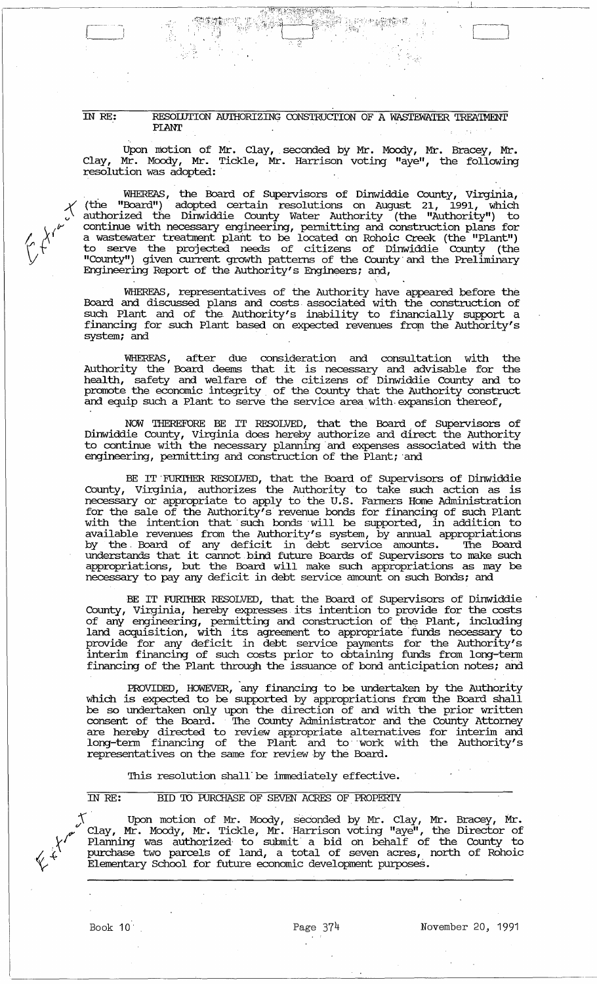IN RE: **RESOIUTION AUIHORIZING CONSTRUCTION OF A WASTEWATER TREATMENT** PLANT PLANT THE SECOND SECOND CONTROL CONTROL CONTROL CONTROL CONTROL CONTROL CONTROL CONTROL CONTROL CONTROL CONTROL CONTROL CONTROL CONTROL CONTROL CONTROL CONTROL CONTROL CONTROL CONTROL CONTROL CONTROL CONTROL CONTROL CONTRO

第。<br>第

." :"

Upon motion of Mr. Clay, seconded by Mr. Moody, Mr. Bracey, Mr. Clay, Mr. Moody, Mr. Tickle, Mr. Harrison voting "aye", the following resolution was adopted: .

WHEREAS, the Board of Supervisors of Dinwiddie County, Virginia, (the "Board") adopted certain resolutions on August 21, 1991, which authorized the Dinwiddie County Water Authority (the "Authority") to continue with necessary engineering, permitting and construction plans for a wastewater treatment plant to be located on Rohoic Creek (the "Plant") to serve the projected needs of citizens of Dinwiddie County (the "County") given current growth patterns of the County and the Preliminary Engineering Report of the Authority's Engineers; and,

\ WHEREAS, representatives of the Authority have appeared before the Board and discussed plans and costs, associated with the construction of such Plant and of the Authority's inability to financially support a financing for such Plant based on expected revenues from the Authority's system; and

WHEREAS, after due consideration and consultation with the Authority the Board deems that it is necessary and advisable for the health, safety and welfare of the citizens of Dinwiddie County and to promote the economic integrity. of the County that the Authority construct and equip such a Plant to serve the service area with expansion thereof,

NOW THEREFORE BE IT RESOLVED, that the Board of Supervisors of Dinwiddie county, Virginia does hereby authorize and direct the Authority to continue with the necessary planning and expenses associated with the engineering, permitting and construction of the Plant; 'and

BE IT FURTHER RESOLVED, that the Board of Supervisors of Dinwiddie county, Virginia, authorizes the Authority to take such action as is necessary or appropriate to apply to the U.S. Farmers Home Administration for the sale of the Authority's revenue bonds for financing of such Plant with the intention that' such bonds 'will be supported, in addition to available revenues from the Authority's system, by annual appropriations by the Board of any deficit in debt service amounts. The Board understands that it cannot bind future Boards of Supervisors to make such appropriations, but the Board will make such appropriations as may be necessary to pay any deficit in debt service amount on such Bonds; and

BE IT FURl'HER RESOLVED, that the Board of Supervisors of Dinwiddie County, Virginia, hereby expresses its intention to provide for the costs of any engineering, permitting and construction of the Plant, including land acquisition, with its agreement to appropriate' funds necessary to provide for any deficit in debt service payments for the Authority's interim financing of such costs prior to obtaining funds from long-tenn financing of the Plant through the issuance of bond anticipation notes; and

PROVIDED, HOWEVER, 'any financing to be undertaken by the Authority which is expected to be supported by appropriations from the Board shall be so undertaken only upon the direction of and with the prior written consent of the Board. 'Ihe County Administrator and the County Attorney are hereby directed to review appropriate alternatives for interim and long-tenn financing of the Plant and to" work with the Authority's representatives on the same for review by the Board.

This resolution shall be immediately effective.

IN RE: BID TO PURCHASE OF SEVEN ACRES OF PROPERTY

 $\top$  Upon motion of Mr. Moody, seconded by Mr. Clay, Mr. Bracey, Mr.  $\epsilon$  Clay, Mr. Moody, Mr. Tickle, Mr. Harrison voting "aye", the Director of  $\gamma'$  Planning was authorized to submit a bid on behalf of the County to  $\chi$   $\Lambda$  purchase two parcels of land, a total of seven acres, north of Rohoic . Elementary School for future economic development purposes.

 $\begin{array}{|c|c|} \hline \quad \quad & \quad \quad \\ \hline \quad \quad & \quad \quad \\ \hline \quad \quad & \quad \quad \\ \hline \quad \quad & \quad \quad \\ \hline \quad \quad & \quad \quad \\ \hline \quad \quad & \quad \quad \\ \hline \quad \quad & \quad \quad \\ \hline \quad \quad & \quad \quad \\ \hline \end{array}$